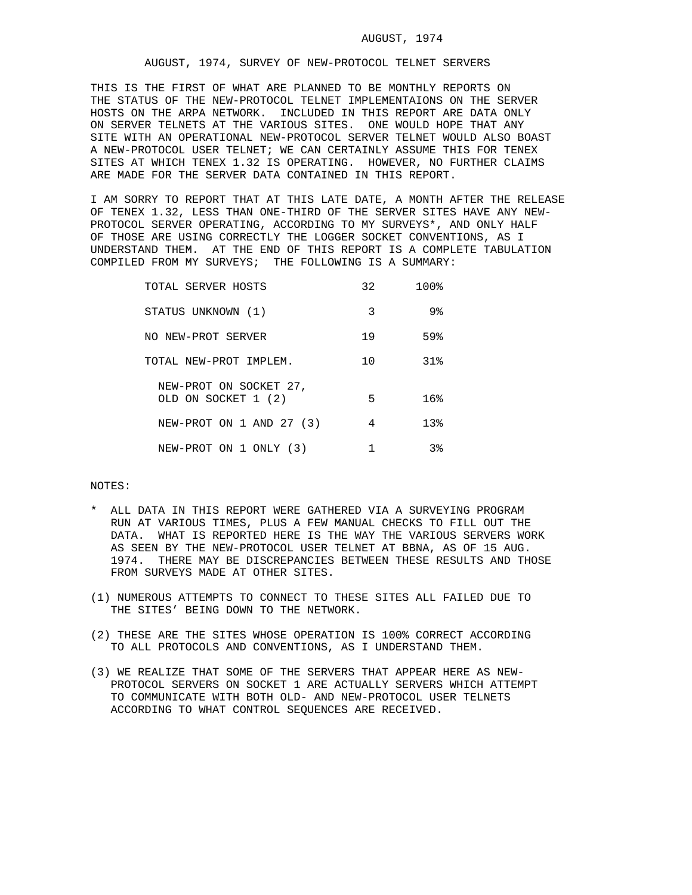## AUGUST, 1974, SURVEY OF NEW-PROTOCOL TELNET SERVERS

THIS IS THE FIRST OF WHAT ARE PLANNED TO BE MONTHLY REPORTS ON THE STATUS OF THE NEW-PROTOCOL TELNET IMPLEMENTAIONS ON THE SERVER HOSTS ON THE ARPA NETWORK. INCLUDED IN THIS REPORT ARE DATA ONLY ON SERVER TELNETS AT THE VARIOUS SITES. ONE WOULD HOPE THAT ANY SITE WITH AN OPERATIONAL NEW-PROTOCOL SERVER TELNET WOULD ALSO BOAST A NEW-PROTOCOL USER TELNET; WE CAN CERTAINLY ASSUME THIS FOR TENEX SITES AT WHICH TENEX 1.32 IS OPERATING. HOWEVER, NO FURTHER CLAIMS ARE MADE FOR THE SERVER DATA CONTAINED IN THIS REPORT.

I AM SORRY TO REPORT THAT AT THIS LATE DATE, A MONTH AFTER THE RELEASE OF TENEX 1.32, LESS THAN ONE-THIRD OF THE SERVER SITES HAVE ANY NEW-PROTOCOL SERVER OPERATING, ACCORDING TO MY SURVEYS\*, AND ONLY HALF OF THOSE ARE USING CORRECTLY THE LOGGER SOCKET CONVENTIONS, AS I UNDERSTAND THEM. AT THE END OF THIS REPORT IS A COMPLETE TABULATION COMPILED FROM MY SURVEYS; THE FOLLOWING IS A SUMMARY:

| TOTAL SERVER HOSTS                            | 32 | 100%            |
|-----------------------------------------------|----|-----------------|
| STATUS UNKNOWN (1)                            | 3  | 9%              |
| NO NEW-PROT SERVER                            | 19 | 59%             |
| TOTAL NEW-PROT IMPLEM.                        | 10 | 31%             |
| NEW-PROT ON SOCKET 27,<br>OLD ON SOCKET 1 (2) | 5  | 16%             |
| NEW-PROT ON 1 AND 27 (3)                      | 4  | 13 <sub>8</sub> |
| NEW-PROT ON 1 ONLY (3)                        |    | 38              |

## NOTES:

- ALL DATA IN THIS REPORT WERE GATHERED VIA A SURVEYING PROGRAM RUN AT VARIOUS TIMES, PLUS A FEW MANUAL CHECKS TO FILL OUT THE DATA. WHAT IS REPORTED HERE IS THE WAY THE VARIOUS SERVERS WORK AS SEEN BY THE NEW-PROTOCOL USER TELNET AT BBNA, AS OF 15 AUG. 1974. THERE MAY BE DISCREPANCIES BETWEEN THESE RESULTS AND THOSE FROM SURVEYS MADE AT OTHER SITES.
- (1) NUMEROUS ATTEMPTS TO CONNECT TO THESE SITES ALL FAILED DUE TO THE SITES' BEING DOWN TO THE NETWORK.
- (2) THESE ARE THE SITES WHOSE OPERATION IS 100% CORRECT ACCORDING TO ALL PROTOCOLS AND CONVENTIONS, AS I UNDERSTAND THEM.
- (3) WE REALIZE THAT SOME OF THE SERVERS THAT APPEAR HERE AS NEW- PROTOCOL SERVERS ON SOCKET 1 ARE ACTUALLY SERVERS WHICH ATTEMPT TO COMMUNICATE WITH BOTH OLD- AND NEW-PROTOCOL USER TELNETS ACCORDING TO WHAT CONTROL SEQUENCES ARE RECEIVED.